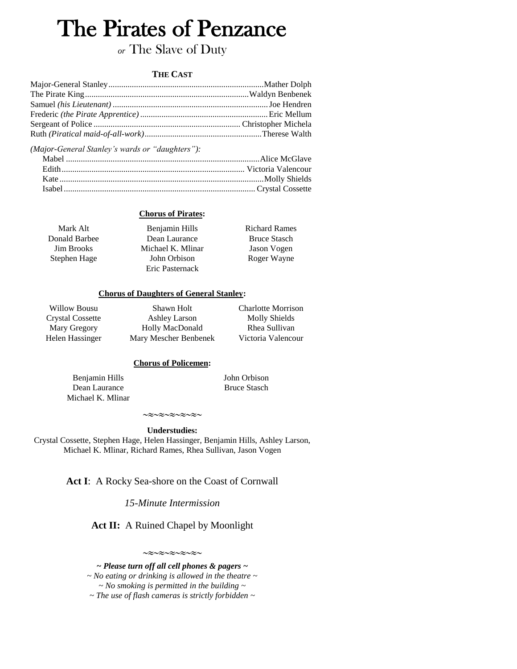# The Pirates of Penzance

# *or* The Slave of Duty

### **THE CAST**

*(Major-General Stanley's wards or "daughters"):*

### **Chorus of Pirates:**

| Mark Alt          | Benjamin Hills    | <b>Richard Rames</b> |
|-------------------|-------------------|----------------------|
| Donald Barbee     | Dean Laurance     | <b>Bruce Stasch</b>  |
| <b>Jim Brooks</b> | Michael K. Mlinar | Jason Vogen          |
| Stephen Hage      | John Orbison      | Roger Wayne          |
|                   | Eric Pasternack   |                      |

#### **Chorus of Daughters of General Stanley:**

Willow Bousu Crystal Cossette Mary Gregory Helen Hassinger

Shawn Holt Ashley Larson Holly MacDonald Mary Mescher Benbenek Charlotte Morrison Molly Shields Rhea Sullivan Victoria Valencour

#### **Chorus of Policemen:**

Benjamin Hills Dean Laurance Michael K. Mlinar John Orbison Bruce Stasch

 $\mathop{\sim} \mathop{\approx} \mathop{\sim} \mathop{\approx} \mathop{\sim} \mathop{\approx} \mathop{\sim} \mathop{\approx} \mathop{\sim} \mathop{\sim} \mathop{\sim}$ **Understudies:**

Crystal Cossette, Stephen Hage, Helen Hassinger, Benjamin Hills, Ashley Larson, Michael K. Mlinar, Richard Rames, Rhea Sullivan, Jason Vogen

Act I: A Rocky Sea-shore on the Coast of Cornwall

*15-Minute Intermission*

**Act II:** A Ruined Chapel by Moonlight

 $\sim$  $\approx$  $\sim$  $\approx$  $\sim$  $\approx$  $\sim$  $\approx$  $\sim$ 

*~ Please turn off all cell phones & pagers ~ ~ No eating or drinking is allowed in the theatre ~ ~ No smoking is permitted in the building ~ ~ The use of flash cameras is strictly forbidden ~*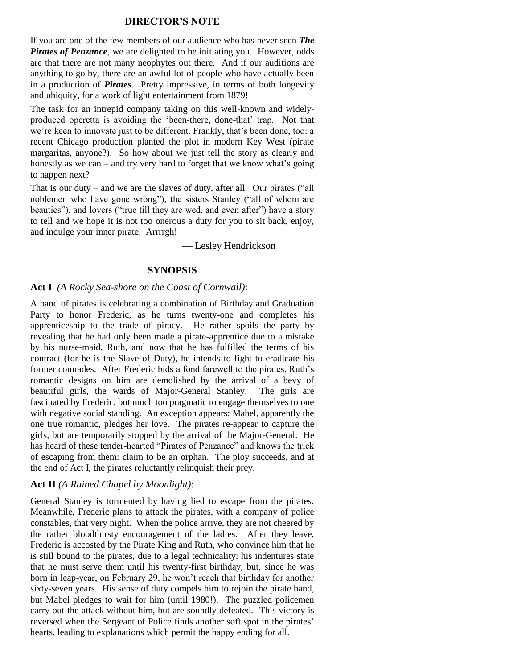## **DIRECTOR'S NOTE**

If you are one of the few members of our audience who has never seen *The Pirates of Penzance*, we are delighted to be initiating you. However, odds are that there are not many neophytes out there. And if our auditions are anything to go by, there are an awful lot of people who have actually been in a production of *Pirates*. Pretty impressive, in terms of both longevity and ubiquity, for a work of light entertainment from 1879!

The task for an intrepid company taking on this well-known and widelyproduced operetta is avoiding the 'been-there, done-that' trap. Not that we're keen to innovate just to be different. Frankly, that's been done, too: a recent Chicago production planted the plot in modern Key West (pirate margaritas, anyone?). So how about we just tell the story as clearly and honestly as we can – and try very hard to forget that we know what's going to happen next?

That is our duty – and we are the slaves of duty, after all. Our pirates ("all noblemen who have gone wrong"), the sisters Stanley ("all of whom are beauties"), and lovers ("true till they are wed, and even after") have a story to tell and we hope it is not too onerous a duty for you to sit back, enjoy, and indulge your inner pirate. Arrrrgh!

— Lesley Hendrickson

## **SYNOPSIS**

#### **Act I** *(A Rocky Sea-shore on the Coast of Cornwall)*:

A band of pirates is celebrating a combination of Birthday and Graduation Party to honor Frederic, as he turns twenty-one and completes his apprenticeship to the trade of piracy. He rather spoils the party by revealing that he had only been made a pirate-apprentice due to a mistake by his nurse-maid, Ruth, and now that he has fulfilled the terms of his contract (for he is the Slave of Duty), he intends to fight to eradicate his former comrades. After Frederic bids a fond farewell to the pirates, Ruth's romantic designs on him are demolished by the arrival of a bevy of beautiful girls, the wards of Major-General Stanley. The girls are fascinated by Frederic, but much too pragmatic to engage themselves to one with negative social standing. An exception appears: Mabel, apparently the one true romantic, pledges her love. The pirates re-appear to capture the girls, but are temporarily stopped by the arrival of the Major-General. He has heard of these tender-hearted "Pirates of Penzance" and knows the trick of escaping from them: claim to be an orphan. The ploy succeeds, and at the end of Act I, the pirates reluctantly relinquish their prey.

#### **Act II** *(A Ruined Chapel by Moonlight)*:

General Stanley is tormented by having lied to escape from the pirates. Meanwhile, Frederic plans to attack the pirates, with a company of police constables, that very night. When the police arrive, they are not cheered by the rather bloodthirsty encouragement of the ladies. After they leave, Frederic is accosted by the Pirate King and Ruth, who convince him that he is still bound to the pirates, due to a legal technicality: his indentures state that he must serve them until his twenty-first birthday, but, since he was born in leap-year, on February 29, he won't reach that birthday for another sixty-seven years. His sense of duty compels him to rejoin the pirate band, but Mabel pledges to wait for him (until 1980!). The puzzled policemen carry out the attack without him, but are soundly defeated. This victory is reversed when the Sergeant of Police finds another soft spot in the pirates' hearts, leading to explanations which permit the happy ending for all.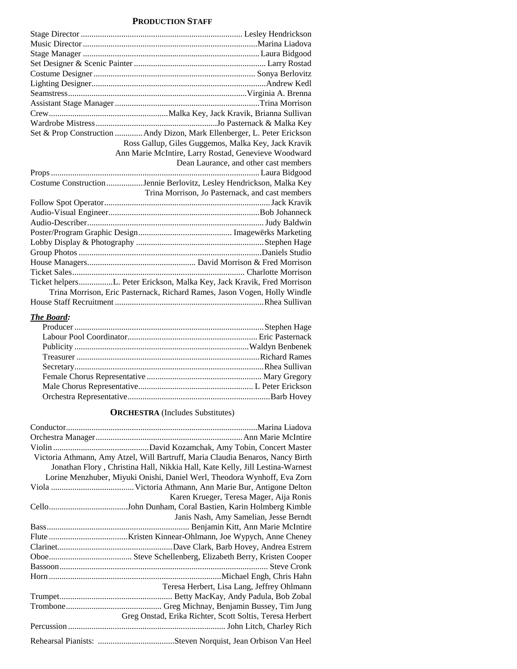## **PRODUCTION STAFF**

| Set & Prop Construction  Andy Dizon, Mark Ellenberger, L. Peter Erickson |                                                                           |
|--------------------------------------------------------------------------|---------------------------------------------------------------------------|
|                                                                          | Ross Gallup, Giles Guggemos, Malka Key, Jack Kravik                       |
|                                                                          | Ann Marie McIntire, Larry Rostad, Genevieve Woodward                      |
|                                                                          | Dean Laurance, and other cast members                                     |
|                                                                          |                                                                           |
| Costume ConstructionJennie Berlovitz, Lesley Hendrickson, Malka Key      |                                                                           |
|                                                                          | Trina Morrison, Jo Pasternack, and cast members                           |
|                                                                          |                                                                           |
|                                                                          |                                                                           |
|                                                                          |                                                                           |
|                                                                          |                                                                           |
|                                                                          |                                                                           |
|                                                                          |                                                                           |
|                                                                          |                                                                           |
|                                                                          |                                                                           |
| Ticket helpersL. Peter Erickson, Malka Key, Jack Kravik, Fred Morrison   |                                                                           |
|                                                                          | Trina Morrison, Eric Pasternack, Richard Rames, Jason Vogen, Holly Windle |
|                                                                          |                                                                           |

### *The Board:*

### **ORCHESTRA** (Includes Substitutes)

| Victoria Athmann, Amy Atzel, Will Bartruff, Maria Claudia Benaros, Nancy Birth |
|--------------------------------------------------------------------------------|
| Jonathan Flory, Christina Hall, Nikkia Hall, Kate Kelly, Jill Lestina-Warnest  |
| Lorine Menzhuber, Miyuki Onishi, Daniel Werl, Theodora Wynhoff, Eva Zorn       |
|                                                                                |
| Karen Krueger, Teresa Mager, Aija Ronis                                        |
|                                                                                |
| Janis Nash, Amy Samelian, Jesse Berndt                                         |
|                                                                                |
|                                                                                |
|                                                                                |
|                                                                                |
|                                                                                |
|                                                                                |
| Teresa Herbert, Lisa Lang, Jeffrey Ohlmann                                     |
|                                                                                |
|                                                                                |
| Greg Onstad, Erika Richter, Scott Soltis, Teresa Herbert                       |
|                                                                                |
|                                                                                |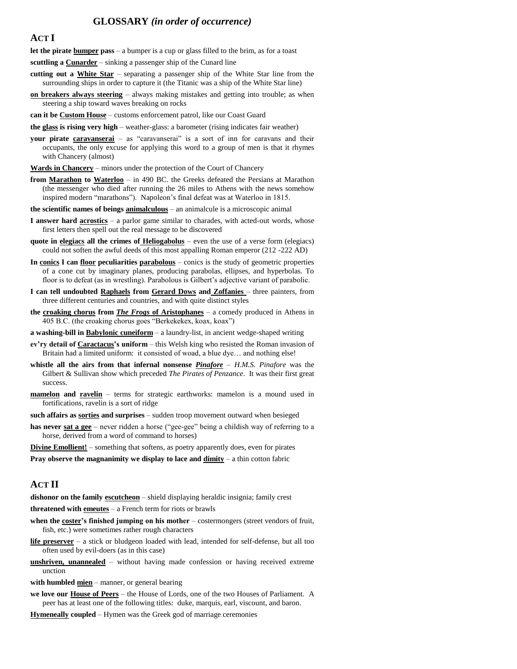## **GLOSSARY** *(in order of occurrence)*

#### **ACT I**

**let the pirate bumper pass** – a bumper is a cup or glass filled to the brim, as for a toast

**scuttling a Cunarder** – sinking a passenger ship of the Cunard line

- **cutting out a White Star** separating a passenger ship of the White Star line from the surrounding ships in order to capture it (the Titanic was a ship of the White Star line)
- **on breakers always steering** always making mistakes and getting into trouble; as when steering a ship toward waves breaking on rocks
- **can it be Custom House** customs enforcement patrol, like our Coast Guard

**the glass is rising very high** – weather-glass: a barometer (rising indicates fair weather)

- your pirate caravanserai as "caravanserai" is a sort of inn for caravans and their occupants, the only excuse for applying this word to a group of men is that it rhymes with Chancery (almost)
- **Wards in Chancery** minors under the protection of the Court of Chancery
- **from Marathon to Waterloo** in 490 BC. the Greeks defeated the Persians at Marathon (the messenger who died after running the 26 miles to Athens with the news somehow inspired modern "marathons"). Napoleon's final defeat was at Waterloo in 1815.
- **the scientific names of beings animalculous** an animalcule is a microscopic animal
- **I answer hard acrostics** a parlor game similar to charades, with acted-out words, whose first letters then spell out the real message to be discovered
- **quote in elegiacs all the crimes of Heliogabolus** even the use of a verse form (elegiacs) could not soften the awful deeds of this most appalling Roman emperor (212 -222 AD)
- **In conics I can floor peculiarities parabolous** conics is the study of geometric properties of a cone cut by imaginary planes, producing parabolas, ellipses, and hyperbolas. To floor is to defeat (as in wrestling). Parabolous is Gilbert's adjective variant of parabolic.
- **I can tell undoubted Raphaels from Gerard Dows and Zoffanies** three painters, from three different centuries and countries, and with quite distinct styles
- **the croaking chorus from** *The Frogs* **of Aristophanes** a comedy produced in Athens in 405 B.C. (the croaking chorus goes "Berkekekex, koax, koax")
- **a washing-bill in Babylonic cuneiform** a laundry-list, in ancient wedge-shaped writing
- **ev'ry detail of Caractacus's uniform** this Welsh king who resisted the Roman invasion of Britain had a limited uniform: it consisted of woad, a blue dye… and nothing else!
- **whistle all the airs from that infernal nonsense** *Pinafore H.M.S. Pinafore* was the Gilbert & Sullivan show which preceded *The Pirates of Penzance*. It was their first great success.
- **mamelon** and **ravelin** terms for strategic earthworks: mamelon is a mound used in fortifications, ravelin is a sort of ridge
- **such affairs as sorties and surprises** sudden troop movement outward when besieged
- **has never sat a gee** never ridden a horse ("gee-gee" being a childish way of referring to a horse, derived from a word of command to horses)
- **Divine Emollient!** something that softens, as poetry apparently does, even for pirates

**Pray observe the magnanimity we display to lace and**  $\frac{d\text{.}}{d\text{.}}$  **– a thin cotton fabric** 

#### **ACT II**

**dishonor on the family escutcheon** – shield displaying heraldic insignia; family crest

**threatened with emeutes** – a French term for riots or brawls

- **when the coster's finished jumping on his mother** costermongers (street vendors of fruit, fish, etc.) were sometimes rather rough characters
- **life preserver** a stick or bludgeon loaded with lead, intended for self-defense, but all too often used by evil-doers (as in this case)
- **unshriven, unannealed** without having made confession or having received extreme unction
- **with humbled mien** manner, or general bearing
- **we love our House of Peers** the House of Lords, one of the two Houses of Parliament. A peer has at least one of the following titles: duke, marquis, earl, viscount, and baron.
- **Hymeneally coupled** Hymen was the Greek god of marriage ceremonies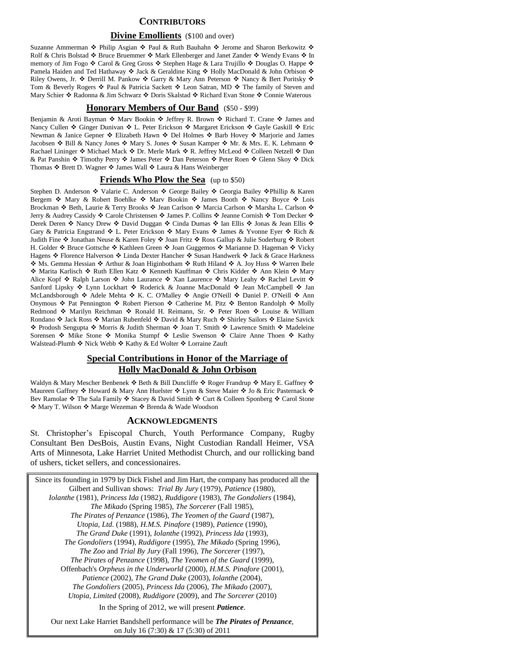#### **CONTRIBUTORS**

#### **Divine Emollients** (\$100 and over)

Suzanne Ammerman  $\cdot$  Philip Asgian  $\cdot$  Paul & Ruth Bauhahn  $\cdot$  Jerome and Sharon Berkowitz  $\cdot$ Rolf & Chris Bolstad �� Bruce Bruemmer �� Mark Ellenberger and Janet Zander �� Wendy Evans �� In memory of Jim Fogo ❖ Carol & Greg Gross ❖ Stephen Hage & Lara Trujillo ❖ Douglas O. Happe ❖ Pamela Haiden and Ted Hathaway  $\cdot \cdot$  Jack & Geraldine King  $\cdot \cdot$  Holly MacDonald & John Orbison  $\cdot \cdot$ Riley Owens, Jr.  $\cdot$  Derrill M. Pankow  $\cdot$  Garry & Mary Ann Peterson  $\cdot$  Nancy & Bert Poritsky  $\cdot$ Tom & Beverly Rogers  $\bullet$  Paul & Patricia Sackett  $\bullet$  Leon Satran, MD  $\bullet$  The family of Steven and Mary Schier ❖ Radonna & Jim Schwarz ❖ Doris Skalstad ❖ Richard Evan Stone ❖ Connie Waterous

#### **Honorary Members of Our Band** (\$50 - \$99)

Benjamin & Aroti Bayman  $\cdot$  Marv Bookin  $\cdot$  Jeffrey R. Brown  $\cdot$  Richard T. Crane  $\cdot$  James and Nancy Cullen ❖ Ginger Dunivan ❖ L. Peter Erickson ❖ Margaret Erickson ❖ Gayle Gaskill ❖ Eric Newman & Janice Gepner ❖ Elizabeth Hawn ❖ Del Holmes ❖ Barb Hovey ❖ Marjorie and James Jacobsen ◆ Bill & Nancy Jones ◆ Mary S. Jones ◆ Susan Kamper ◆ Mr. & Mrs. E. K. Lehmann ◆ Rachael Lininger ❖ Michael Mack ❖ Dr. Merle Mark ❖ R. Jeffrey McLeod ❖ Colleen Netzell ❖ Dan & Pat Panshin Timothy Perry James Peter Dan Peterson Peter Roen Glenn Skoy Dick Thomas ❖ Brett D. Wagner ❖ James Wall ❖ Laura & Hans Weinberger

#### **Friends Who Plow the Sea** (up to \$50)

Stephen D. Anderson ❖ Valarie C. Anderson ❖ George Bailey ❖ Georgia Bailey ❖ Phillip & Karen Bergem  $\cdot$  Mary & Robert Boehlke  $\cdot$  Marv Bookin  $\cdot$  James Booth  $\cdot$  Nancy Boyce  $\cdot$  Lois Brockman  $\cdot$  Beth, Laurie & Terry Brooks  $\cdot$  Jean Carlson  $\cdot$  Marcia Carlson  $\cdot$  Marsha L. Carlson  $\cdot$ Jerry & Audrey Cassidy  $\cdot$  Carole Christensen  $\cdot \cdot$  James P. Collins  $\cdot \cdot$  Jeanne Cornish  $\cdot \cdot$  Tom Decker  $\cdot \cdot$ Derek Deren ❖ Nancy Drew ❖ David Duggan ❖ Cinda Dumas ❖ Ian Ellis ❖ Jonas & Jean Ellis ❖ Gary & Patricia Engstrand  $\triangle$  L. Peter Erickson  $\triangle$  Mary Evans  $\triangle$  James & Yvonne Eyer  $\triangle$  Rich & Judith Fine ❖ Jonathan Neuse & Karen Foley ❖ Joan Fritz ❖ Ross Gallup & Julie Soderburg ❖ Robert H. Golder ❖ Bruce Gottsche ❖ Kathleen Green ❖ Joan Guggemos ❖ Marianne D. Hageman ❖ Vicky Hagens ❖ Florence Halverson ❖ Linda Dexter Hancher ❖ Susan Handwerk ❖ Jack & Grace Harkness ◆ Ms. Gemma Hessian ◆ Arthur & Joan Higinbotham ◆ Ruth Hiland ◆ A. Joy Huss ◆ Warren Ibele ◆ Marita Karlisch ◆ Ruth Ellen Katz ◆ Kenneth Kauffman ◆ Chris Kidder ◆ Ann Klein ◆ Mary Alice Kopf ❖ Ralph Larson ❖ John Laurance ❖ Xan Laurence ❖ Mary Leahy ❖ Rachel Levitt ❖ Sanford Lipsky ❖ Lynn Lockhart ❖ Roderick & Joanne MacDonald ❖ Jean McCampbell ❖ Jan McLandsborough  $\div$  Adele Mehta  $\div$  K. C. O'Malley  $\div$  Angie O'Neill  $\div$  Daniel P. O'Neill  $\div$  Ann Onymous  $\cdot$  Pat Pennington  $\cdot$  Robert Pierson  $\cdot$  Catherine M. Pitz  $\cdot$  Benton Randolph  $\cdot$  Molly Redmond  $\div$  Marilyn Reichman  $\div$  Ronald H. Reimann, Sr.  $\div$  Peter Roen  $\div$  Louise & William Rondano ❖ Jack Ross ❖ Marian Rubenfeld ❖ David & Mary Ruch ❖ Shirley Sailors ❖ Elaine Savick ◆ Prodosh Sengupta ◆ Morris & Judith Sherman ◆ Joan T. Smith ◆ Lawrence Smith ◆ Madeleine Sorensen  $\div$  Mike Stone  $\div$  Monika Stumpf  $\div$  Leslie Swenson  $\div$  Claire Anne Thoen  $\div$  Kathy Walstead-Plumb ❖ Nick Webb ❖ Kathy & Ed Wolter ❖ Lorraine Zauft

### **Special Contributions in Honor of the Marriage of Holly MacDonald & John Orbison**

Waldyn & Mary Mescher Benbenek  $\triangleleft$  Beth & Bill Duncliffe  $\triangleleft$  Roger Frandrup  $\triangleleft$  Mary E. Gaffney  $\triangleleft$ Maureen Gaffney \* Howard & Mary Ann Huelster \* Lynn & Steve Maier \* Jo & Eric Pasternack \* Bev Ramolae  $\clubsuit$  The Sala Family  $\clubsuit$  Stacey & David Smith  $\clubsuit$  Curt & Colleen Sponberg  $\clubsuit$  Carol Stone ◆ Mary T. Wilson ◆ Marge Wezeman ◆ Brenda & Wade Woodson

#### **ACKNOWLEDGMENTS**

St. Christopher's Episcopal Church, Youth Performance Company, Rugby Consultant Ben DesBois, Austin Evans, Night Custodian Randall Heimer, VSA Arts of Minnesota, Lake Harriet United Methodist Church, and our rollicking band of ushers, ticket sellers, and concessionaires.

Since its founding in 1979 by Dick Fishel and Jim Hart, the company has produced all the Gilbert and Sullivan shows: *Trial By Jury* (1979), *Patience* (1980), *Iolanthe* (1981), *Princess Ida* (1982), *Ruddigore* (1983), *The Gondoliers* (1984), *The Mikado* (Spring 1985), *The Sorcerer* (Fall 1985), *The Pirates of Penzance* (1986), *The Yeomen of the Guard* (1987), *Utopia, Ltd.* (1988), *H.M.S. Pinafore* (1989), *Patience* (1990), *The Grand Duke* (1991), *Iolanthe* (1992), *Princess Ida* (1993), *The Gondoliers* (1994), *Ruddigore* (1995), *The Mikado* (Spring 1996), *The Zoo* and *Trial By Jury* (Fall 1996), *The Sorcerer* (1997), *The Pirates of Penzance* (1998), *The Yeomen of the Guard* (1999), Offenbach's *Orpheus in the Underworld* (2000), *H.M.S. Pinafore* (2001), *Patience* (2002), *The Grand Duke* (2003), *Iolanthe* (2004), *The Gondoliers* (2005), *Princess Ida* (2006), *The Mikado* (2007), *Utopia, Limited* (2008), *Ruddigore* (2009), and *The Sorcerer* (2010) In the Spring of 2012, we will present *Patience*. Our next Lake Harriet Bandshell performance will be *The Pirates of Penzance*,

on July 16 (7:30) & 17 (5:30) of 2011